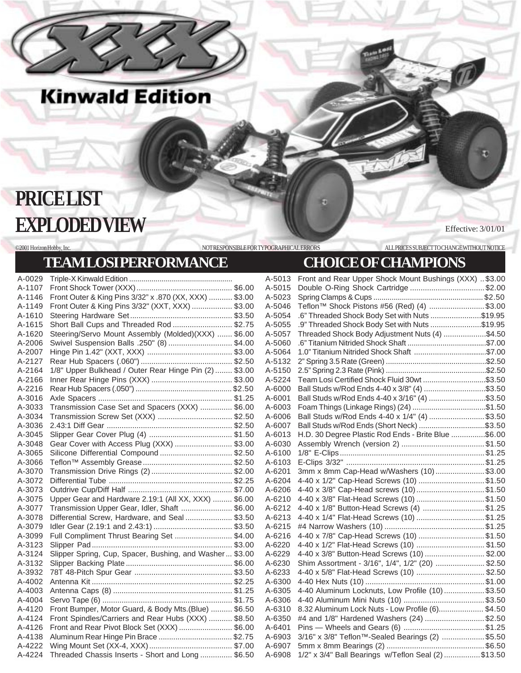## **PRICE LIST EXPLODED VIEW**

Effective: 3/01/01

## **TEAM LOSI PERFORMANCE CHOICE OF CHAMPIONS**

**Kinwald Edition** 

©2001 Horizon Hobby, Inc. NOT RESPONSIBLE FOR TYPOGRAPHICAL ERRORS ALL PRICES SUBJECT TO CHANGE WITHOUT NOTICE

A-0029 Triple-X Kinwald Edition ................................................... A-1107 Front Shock Tower (XXX)............................................. \$6.00 A-1146 Front Outer & King Pins 3/32" x .870 (XX, XXX) ........... \$3.00 A-1149 Front Outer & King Pins 3/32" (XXT, XXX) ................... \$3.00 A-1610 Steering Hardware Set................................................ \$3.50 A-1615 Short Ball Cups and Threaded Rod ............................ \$2.75 A-1620 Steering/Servo Mount Assembly (Molded)(XXX) ....... \$6.00 A-2006 Swivel Suspension Balls .250" (8) .............................. \$4.00 A-2007 Hinge Pin 1.42" (XXT, XXX) ........................................ \$3.00 A-2127 Rear Hub Spacers (.060") ........................................... \$2.50 A-2164 1/8" Upper Bulkhead / Outer Rear Hinge Pin (2) ........ \$3.00 A-2166 Inner Rear Hinge Pins (XXX) ...................................... \$3.00 A-2216 Rear Hub Spacers (.050") ............................................... \$2.50 A-3016 Axle Spacers ............................................................... \$1.25 A-3033 Transmission Case Set and Spacers (XXX) ............... \$6.00 A-3034 Transmission Screw Set (XXX) ................................... \$2.50 A-3036 2.43:1 Diff Gear ........................................................... \$2.50 A-3045 Slipper Gear Cover Plug (4) ....................................... \$1.50 A-3048 Gear Cover with Access Plug (XXX) ........................... \$3.00 A-3065 Silicone Differential Compound .................................. \$2.50 A-3066 Teflon™ Assembly Grease.......................................... \$2.50 A-3070 Transmission Drive Rings (2) ...................................... \$2.00 A-3072 Differential Tube .......................................................... \$2.25 A-3073 Outdrive Cup/Diff Half ................................................. \$7.00 Upper Gear and Hardware 2.19:1 (All XX, XXX) ......... \$6.00 A-3077 Transmission Upper Gear, Idler, Shaft ........................ \$6.00 A-3078 Differential Screw, Hardware, and Seal ...................... \$3.50 A-3079 Idler Gear (2.19:1 and 2.43:1) ..................................... \$3.50 A-3099 Full Compliment Thrust Bearing Set ........................... \$4.00 A-3123 Slipper Pad.................................................................. \$3.00 A-3124 Slipper Spring, Cup, Spacer, Bushing, and Washer... \$3.00 A-3132 Slipper Backing Plate .................................................. \$6.00 A-3932 78T 48-Pitch Spur Gear .............................................. \$3.50 A-4002 Antenna Kit .................................................................. \$2.25 A-4003 Antenna Caps (8) ........................................................ \$1.25 A-4004 Servo Tape (6) ............................................................. \$1.75 A-4120 Front Bumper, Motor Guard, & Body Mts.(Blue) .......... \$6.50 A-4124 Front Spindles/Carriers and Rear Hubs (XXX) ........... \$8.50 A-4126 Front and Rear Pivot Block Set (XXX) ......................... \$6.00 A-4138 Aluminum Rear Hinge Pin Brace ................................... \$2.75 A-4222 Wing Mount Set (XX-4, XXX)....................................... \$7.00

A-4224 Threaded Chassis Inserts - Short and Long ............... \$6.50

A-5013 Front and Rear Upper Shock Mount Bushings (XXX) ..\$3.00 A-5015 Double O-Ring Shock Cartridge ...................................\$2.00 A-5023 Spring Clamps & Cups ...................................................... \$2.50 A-5046 Teflon™ Shock Pistons #56 (Red) (4) ..........................\$3.00 A-5054 .6" Threaded Shock Body Set with Nuts ........................\$19.95 A-5055 .9" Threaded Shock Body Set with Nuts ........................\$19.95 A-5057 Threaded Shock Body Adjustment Nuts (4) ...................\$4.50 A-5060 .6" Titanium Nitrided Shock Shaft .......................................\$7.00 A-5064 1.0" Titanium Nitrided Shock Shaft ....................................\$7.00 A-5132 2" Spring 3.5 Rate (Green) .................................................\$2.50 A-5150 2.5" Spring 2.3 Rate (Pink) .................................................\$2.50 A-5224 Team Losi Certified Shock Fluid 30wt ..............................\$3.50 A-6000 Ball Studs w/Rod Ends 4-40 x 3/8" (4) .............................\$3.50 A-6001 Ball Studs w/Rod Ends 4-40 x 3/16" (4) ...........................\$3.50 A-6003 Foam Things (Linkage Rings) (24) ...................................\$1.50 A-6006 Ball Studs w/Rod Ends 4-40 x 1/4" (4) ...........................\$3.50 A-6007 Ball Studs w/Rod Ends (Short Neck) ................................\$3.50 A-6013 H.D. 30 Degree Plastic Rod Ends - Brite Blue ................\$6.00 A-6030 Assembly Wrench (version 2) ....................................... \$1.50 A-6100 1/8" E-Clips....................................................................\$1.25 A-6103 E-Clips 3/32" .................................................................\$1.25 3mm x 8mm Cap-Head w/Washers (10) .......................\$3.00 A-6204 4-40 x 1/2" Cap-Head Screws (10) .............................\$1.50<br>A-6206 4-40 x 3/8" Cap-Head screws (10) ................................\$1.50 4-40 x 3/8" Cap-Head screws (10)...............................\$1.50 A-6210 4-40 x 3/8" Flat-Head Screws (10) ................................\$1.50 A-6212 4-40 x 1/8" Button-Head Screws (4) .............................\$1.25 A-6213 4-40 x 1/4" Flat-Head Screws (10) ...............................\$1.25 A-6215 #4 Narrow Washers (10) ...............................................\$1.25 A-6216 4-40 x 7/8" Cap-Head Screws (10) ..............................\$1.50 A-6220 4-40 x 1/2" Flat-Head Screws (10) ................................ \$1.50 A-6229 4-40 x 3/8" Button-Head Screws (10) ............................ \$2.00 A-6230 Shim Assortment - 3/16", 1/4", 1/2" (20) ....................... \$2.50 A-6233 4-40 x 5/8" Flat-Head Screws (10) ................................ \$2.50 A-6300 4-40 Hex Nuts (10) ........................................................\$1.00 A-6305 4-40 Aluminum Locknuts, Low Profile (10) ...................\$3.50 A-6306 4-40 Aluminum Mini Nuts (10) ......................................\$3.50 A-6310 8.32 Aluminum Lock Nuts - Low Profile (6)..................... \$4.50 A-6350 #4 and 1/8" Hardened Washers (24) ............................ \$2.50 A-6401 Pins — Wheels and Gears (6) ......................................\$1.25 A-6903 3/16" x 3/8" Teflon™-Sealed Bearings (2) ....................\$5.50 A-6907 5mm x 8mm Bearings (2) .............................................. \$6.50 A-6908 1/2" x 3/4" Ball Bearings w/Teflon Seal (2) .................\$13.50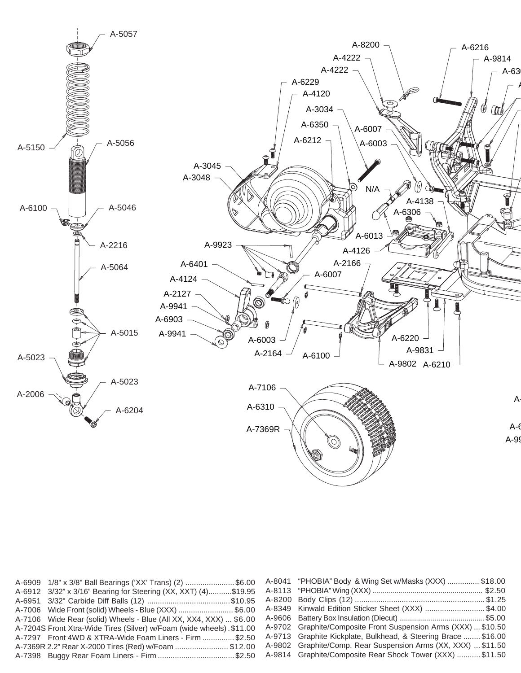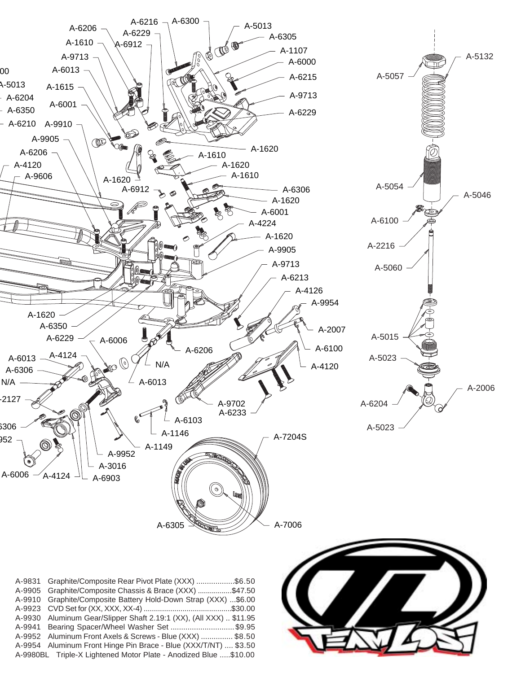

| A-9831 Graphite/Composite Rear Pivot Plate (XXX) \$6.50            |
|--------------------------------------------------------------------|
| A-9905 Graphite/Composite Chassis & Brace (XXX) \$47.50            |
| A-9910 Graphite/Composite Battery Hold-Down Strap (XXX) \$6.00     |
|                                                                    |
| A-9930 Aluminum Gear/Slipper Shaft 2.19:1 (XX), (All XXX)  \$11.95 |
| A-9941 Bearing Spacer/Wheel Washer Set \$9.95                      |
| A-9952 Aluminum Front Axels & Screws - Blue (XXX)  \$8.50          |
| A-9954 Aluminum Front Hinge Pin Brace - Blue (XXX/T/NT)  \$3.50    |
| A-9980BL Triple-X Lightened Motor Plate - Anodized Blue \$10.00    |